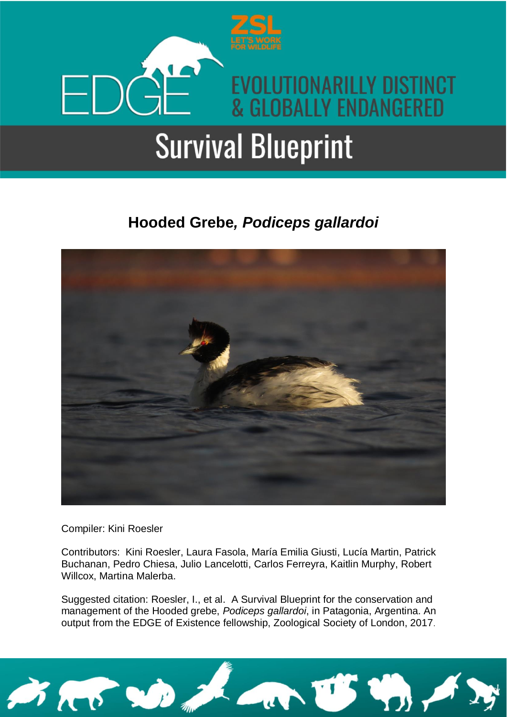

### **Hooded Grebe***, Podiceps gallardoi*



Compiler: Kini Roesler

Contributors: Kini Roesler, Laura Fasola, María Emilia Giusti, Lucía Martin, Patrick Buchanan, Pedro Chiesa, Julio Lancelotti, Carlos Ferreyra, Kaitlin Murphy, Robert Willcox, Martina Malerba.

Suggested citation: Roesler, I., et al. A Survival Blueprint for the conservation and management of the Hooded grebe, *Podiceps gallardoi*, in Patagonia, Argentina. An output from the EDGE of Existence fellowship, Zoological Society of London, 2017.

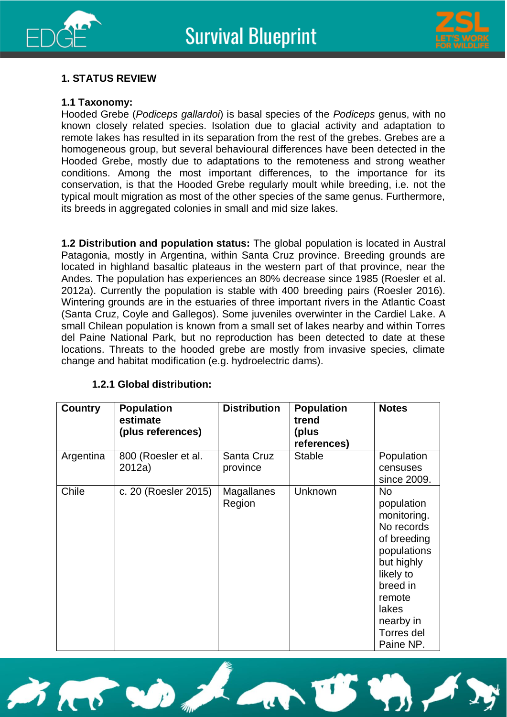



#### **1. STATUS REVIEW**

#### **1.1 Taxonomy:**

Hooded Grebe (*Podiceps gallardoi*) is basal species of the *Podiceps* genus, with no known closely related species. Isolation due to glacial activity and adaptation to remote lakes has resulted in its separation from the rest of the grebes. Grebes are a homogeneous group, but several behavioural differences have been detected in the Hooded Grebe, mostly due to adaptations to the remoteness and strong weather conditions. Among the most important differences, to the importance for its conservation, is that the Hooded Grebe regularly moult while breeding, i.e. not the typical moult migration as most of the other species of the same genus. Furthermore, its breeds in aggregated colonies in small and mid size lakes.

**1.2 Distribution and population status:** The global population is located in Austral Patagonia, mostly in Argentina, within Santa Cruz province. Breeding grounds are located in highland basaltic plateaus in the western part of that province, near the Andes. The population has experiences an 80% decrease since 1985 (Roesler et al. 2012a). Currently the population is stable with 400 breeding pairs (Roesler 2016). Wintering grounds are in the estuaries of three important rivers in the Atlantic Coast (Santa Cruz, Coyle and Gallegos). Some juveniles overwinter in the Cardiel Lake. A small Chilean population is known from a small set of lakes nearby and within Torres del Paine National Park, but no reproduction has been detected to date at these locations. Threats to the hooded grebe are mostly from invasive species, climate change and habitat modification (e.g. hydroelectric dams).

| <b>Country</b> | <b>Population</b><br>estimate<br>(plus references) | <b>Distribution</b>    | <b>Population</b><br>trend<br>(plus<br>references) | <b>Notes</b>                                                                                                                                                                         |
|----------------|----------------------------------------------------|------------------------|----------------------------------------------------|--------------------------------------------------------------------------------------------------------------------------------------------------------------------------------------|
| Argentina      | 800 (Roesler et al.<br>2012a)                      | Santa Cruz<br>province | <b>Stable</b>                                      | Population<br>censuses<br>since 2009.                                                                                                                                                |
| Chile          | c. 20 (Roesler 2015)                               | Magallanes<br>Region   | Unknown                                            | <b>No</b><br>population<br>monitoring.<br>No records<br>of breeding<br>populations<br>but highly<br>likely to<br>breed in<br>remote<br>lakes<br>nearby in<br>Torres del<br>Paine NP. |

#### **1.2.1 Global distribution:**

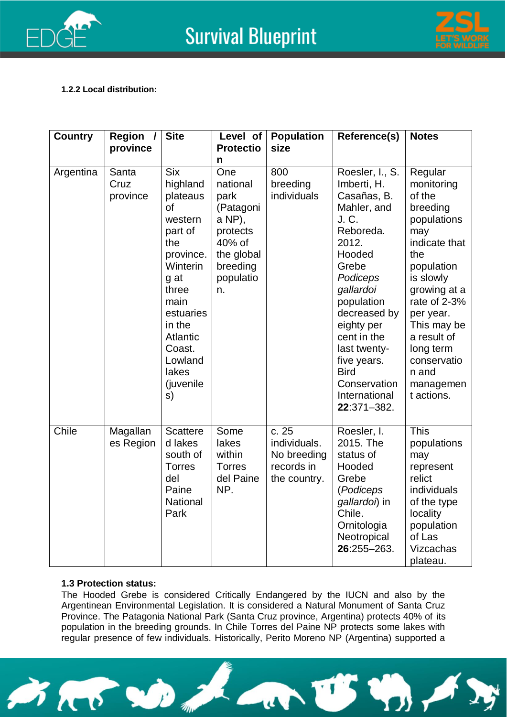



#### **1.2.2 Local distribution:**

| <b>Country</b> | Region<br>$\prime$<br>province | <b>Site</b>                                                                                                                                                                                                 | Level of<br><b>Protectio</b>                                                                                           | <b>Population</b><br>size                                         | Reference(s)                                                                                                                                                                                                                                                                                     | <b>Notes</b>                                                                                                                                                                                                                                                    |
|----------------|--------------------------------|-------------------------------------------------------------------------------------------------------------------------------------------------------------------------------------------------------------|------------------------------------------------------------------------------------------------------------------------|-------------------------------------------------------------------|--------------------------------------------------------------------------------------------------------------------------------------------------------------------------------------------------------------------------------------------------------------------------------------------------|-----------------------------------------------------------------------------------------------------------------------------------------------------------------------------------------------------------------------------------------------------------------|
| Argentina      | Santa<br>Cruz<br>province      | <b>Six</b><br>highland<br>plateaus<br>of<br>western<br>part of<br>the<br>province.<br>Winterin<br>g at<br>three<br>main<br>estuaries<br>in the<br>Atlantic<br>Coast.<br>Lowland<br>lakes<br>(juvenile<br>s) | n<br>One<br>national<br>park<br>(Patagoni<br>a NP),<br>protects<br>40% of<br>the global<br>breeding<br>populatio<br>n. | 800<br>breeding<br>individuals                                    | Roesler, I., S.<br>Imberti, H.<br>Casañas, B.<br>Mahler, and<br>J. C.<br>Reboreda.<br>2012.<br>Hooded<br>Grebe<br>Podiceps<br>gallardoi<br>population<br>decreased by<br>eighty per<br>cent in the<br>last twenty-<br>five years.<br><b>Bird</b><br>Conservation<br>International<br>22:371-382. | Regular<br>monitoring<br>of the<br>breeding<br>populations<br>may<br>indicate that<br>the<br>population<br>is slowly<br>growing at a<br>rate of 2-3%<br>per year.<br>This may be<br>a result of<br>long term<br>conservatio<br>n and<br>managemen<br>t actions. |
| Chile          | Magallan<br>es Region          | <b>Scattere</b><br>d lakes<br>south of<br><b>Torres</b><br>del<br>Paine<br><b>National</b><br>Park                                                                                                          | Some<br>lakes<br>within<br><b>Torres</b><br>del Paine<br>NP.                                                           | c.25<br>individuals.<br>No breeding<br>records in<br>the country. | Roesler, I.<br>2015. The<br>status of<br>Hooded<br>Grebe<br>(Podiceps<br>gallardoi) in<br>Chile.<br>Ornitologia<br>Neotropical<br>26:255-263.                                                                                                                                                    | This<br>populations<br>may<br>represent<br>relict<br>individuals<br>of the type<br>locality<br>population<br>of Las<br>Vizcachas<br>plateau.                                                                                                                    |

#### **1.3 Protection status:**

The Hooded Grebe is considered Critically Endangered by the IUCN and also by the Argentinean Environmental Legislation. It is considered a Natural Monument of Santa Cruz Province. The Patagonia National Park (Santa Cruz province, Argentina) protects 40% of its population in the breeding grounds. In Chile Torres del Paine NP protects some lakes with regular presence of few individuals. Historically, Perito Moreno NP (Argentina) supported a

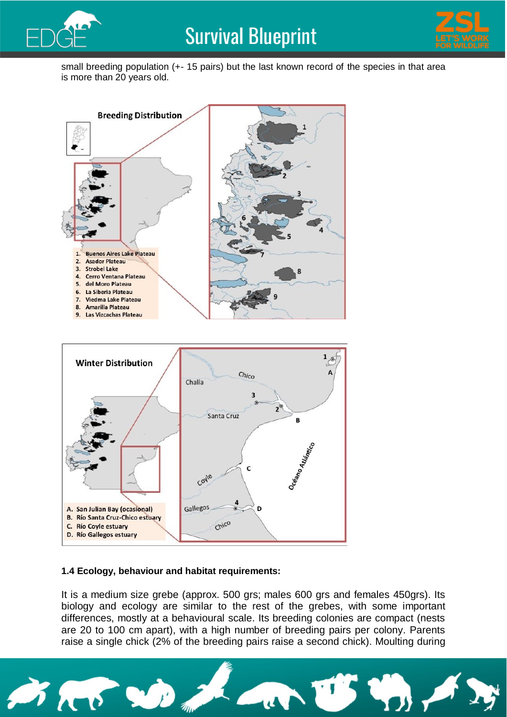



small breeding population (+- 15 pairs) but the last known record of the species in that area is more than 20 years old.



#### **1.4 Ecology, behaviour and habitat requirements:**

It is a medium size grebe (approx. 500 grs; males 600 grs and females 450grs). Its biology and ecology are similar to the rest of the grebes, with some important differences, mostly at a behavioural scale. Its breeding colonies are compact (nests are 20 to 100 cm apart), with a high number of breeding pairs per colony. Parents raise a single chick (2% of the breeding pairs raise a second chick). Moulting during

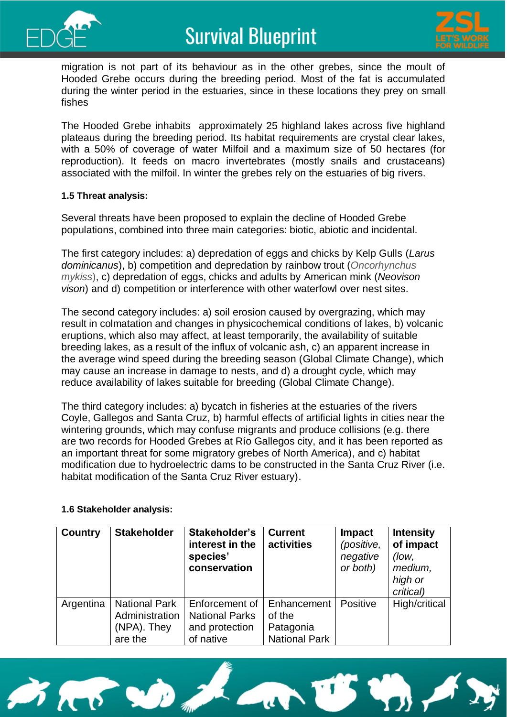



migration is not part of its behaviour as in the other grebes, since the moult of Hooded Grebe occurs during the breeding period. Most of the fat is accumulated during the winter period in the estuaries, since in these locations they prey on small fishes

The Hooded Grebe inhabits approximately 25 highland lakes across five highland plateaus during the breeding period. Its habitat requirements are crystal clear lakes, with a 50% of coverage of water Milfoil and a maximum size of 50 hectares (for reproduction). It feeds on macro invertebrates (mostly snails and crustaceans) associated with the milfoil. In winter the grebes rely on the estuaries of big rivers.

#### **1.5 Threat analysis:**

Several threats have been proposed to explain the decline of Hooded Grebe populations, combined into three main categories: biotic, abiotic and incidental.

The first category includes: a) depredation of eggs and chicks by Kelp Gulls (*Larus dominicanus*), b) competition and depredation by rainbow trout (*Oncorhynchus mykiss*), c) depredation of eggs, chicks and adults by American mink (*Neovison vison*) and d) competition or interference with other waterfowl over nest sites.

The second category includes: a) soil erosion caused by overgrazing, which may result in colmatation and changes in physicochemical conditions of lakes, b) volcanic eruptions, which also may affect, at least temporarily, the availability of suitable breeding lakes, as a result of the influx of volcanic ash, c) an apparent increase in the average wind speed during the breeding season (Global Climate Change), which may cause an increase in damage to nests, and d) a drought cycle, which may reduce availability of lakes suitable for breeding (Global Climate Change).

The third category includes: a) bycatch in fisheries at the estuaries of the rivers Coyle, Gallegos and Santa Cruz, b) harmful effects of artificial lights in cities near the wintering grounds, which may confuse migrants and produce collisions (e.g. there are two records for Hooded Grebes at Río Gallegos city, and it has been reported as an important threat for some migratory grebes of North America), and c) habitat modification due to hydroelectric dams to be constructed in the Santa Cruz River (i.e. habitat modification of the Santa Cruz River estuary).

#### **1.6 Stakeholder analysis:**

| <b>Country</b> | <b>Stakeholder</b>                                               | Stakeholder's<br>interest in the<br>species'<br>conservation           | <b>Current</b><br>activities                               | <b>Impact</b><br>(positive,<br>negative<br>or both) | <b>Intensity</b><br>of impact<br>(low,<br>medium,<br>high or<br>critical) |
|----------------|------------------------------------------------------------------|------------------------------------------------------------------------|------------------------------------------------------------|-----------------------------------------------------|---------------------------------------------------------------------------|
| Argentina      | <b>National Park</b><br>Administration<br>(NPA). They<br>are the | Enforcement of<br><b>National Parks</b><br>and protection<br>of native | Enhancement<br>of the<br>Patagonia<br><b>National Park</b> | Positive                                            | High/critical                                                             |

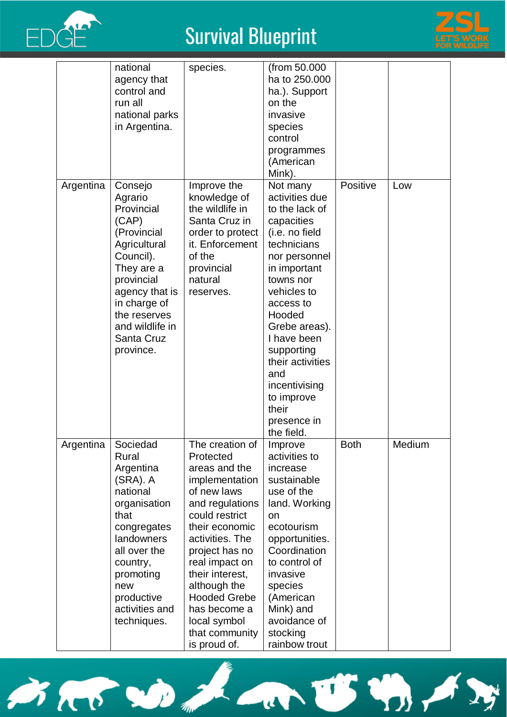



|           | national<br>agency that<br>control and<br>run all<br>national parks<br>in Argentina.                                                                                                                              | species.                                                                                                                                                                                                                                                                                                                | (from 50.000<br>ha to 250.000<br>ha.). Support<br>on the<br>invasive<br>species<br>control<br>programmes<br>(American<br>Mink).                                                                                                                                                                                               |             |        |
|-----------|-------------------------------------------------------------------------------------------------------------------------------------------------------------------------------------------------------------------|-------------------------------------------------------------------------------------------------------------------------------------------------------------------------------------------------------------------------------------------------------------------------------------------------------------------------|-------------------------------------------------------------------------------------------------------------------------------------------------------------------------------------------------------------------------------------------------------------------------------------------------------------------------------|-------------|--------|
| Argentina | Consejo<br>Agrario<br>Provincial<br>(CAP)<br>(Provincial<br>Agricultural<br>Council).<br>They are a<br>provincial<br>agency that is<br>in charge of<br>the reserves<br>and wildlife in<br>Santa Cruz<br>province. | Improve the<br>knowledge of<br>the wildlife in<br>Santa Cruz in<br>order to protect<br>it. Enforcement<br>of the<br>provincial<br>natural<br>reserves.                                                                                                                                                                  | Not many<br>activities due<br>to the lack of<br>capacities<br>(i.e. no field<br>technicians<br>nor personnel<br>in important<br>towns nor<br>vehicles to<br>access to<br>Hooded<br>Grebe areas).<br>I have been<br>supporting<br>their activities<br>and<br>incentivising<br>to improve<br>their<br>presence in<br>the field. | Positive    | Low    |
| Argentina | Sociedad<br>Rural<br>Argentina<br>(SRA). A<br>national<br>organisation<br>that<br>congregates<br>landowners<br>all over the<br>country,<br>promoting<br>new<br>productive<br>activities and<br>techniques.        | The creation of<br>Protected<br>areas and the<br>implementation<br>of new laws<br>and regulations<br>could restrict<br>their economic<br>activities. The<br>project has no<br>real impact on<br>their interest,<br>although the<br><b>Hooded Grebe</b><br>has become a<br>local symbol<br>that community<br>is proud of | Improve<br>activities to<br>increase<br>sustainable<br>use of the<br>land. Working<br>on<br>ecotourism<br>opportunities.<br>Coordination<br>to control of<br>invasive<br>species<br>(American<br>Mink) and<br>avoidance of<br>stocking<br>rainhow trout                                                                       | <b>Both</b> | Medium |





US VOI,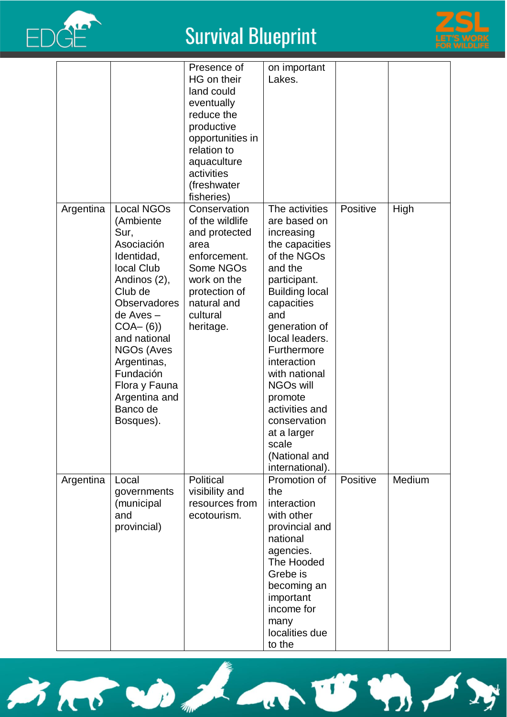



|           |                                                                                                                                                                                                                                                                                   | Presence of<br>HG on their<br>land could<br>eventually<br>reduce the<br>productive<br>opportunities in<br>relation to<br>aquaculture<br>activities<br>(freshwater<br>fisheries) | on important<br>Lakes.                                                                                                                                                                                                                                                                                                                                                |          |        |
|-----------|-----------------------------------------------------------------------------------------------------------------------------------------------------------------------------------------------------------------------------------------------------------------------------------|---------------------------------------------------------------------------------------------------------------------------------------------------------------------------------|-----------------------------------------------------------------------------------------------------------------------------------------------------------------------------------------------------------------------------------------------------------------------------------------------------------------------------------------------------------------------|----------|--------|
| Argentina | <b>Local NGOs</b><br>(Ambiente<br>Sur,<br>Asociación<br>Identidad,<br>local Club<br>Andinos (2),<br>Club de<br><b>Observadores</b><br>de Aves-<br>$COA- (6)$<br>and national<br>NGOs (Aves<br>Argentinas,<br>Fundación<br>Flora y Fauna<br>Argentina and<br>Banco de<br>Bosques). | Conservation<br>of the wildlife<br>and protected<br>area<br>enforcement.<br>Some NGOs<br>work on the<br>protection of<br>natural and<br>cultural<br>heritage.                   | The activities<br>are based on<br>increasing<br>the capacities<br>of the NGOs<br>and the<br>participant.<br><b>Building local</b><br>capacities<br>and<br>generation of<br>local leaders.<br>Furthermore<br>interaction<br>with national<br><b>NGOs will</b><br>promote<br>activities and<br>conservation<br>at a larger<br>scale<br>(National and<br>international). | Positive | High   |
| Argentina | Local<br>governments<br>(municipal<br>and<br>provincial)                                                                                                                                                                                                                          | Political<br>visibility and<br>resources from<br>ecotourism.                                                                                                                    | Promotion of<br>the<br>interaction<br>with other<br>provincial and<br>national<br>agencies.<br>The Hooded<br>Grebe is<br>becoming an<br>important<br>income for<br>many<br>localities due<br>to the                                                                                                                                                                   | Positive | Medium |

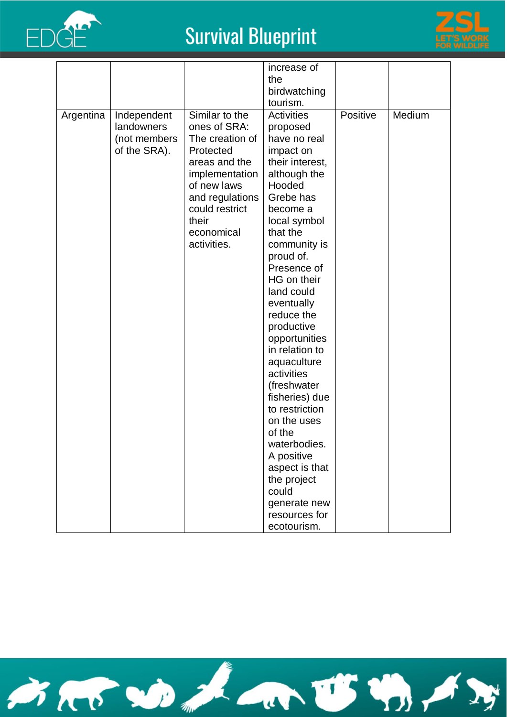



|           |                                                           |                                                                                                                                                                                             | increase of<br>the                                                                                                                                                                                                                                                                                                                                                                                                                                                                                                              |          |        |
|-----------|-----------------------------------------------------------|---------------------------------------------------------------------------------------------------------------------------------------------------------------------------------------------|---------------------------------------------------------------------------------------------------------------------------------------------------------------------------------------------------------------------------------------------------------------------------------------------------------------------------------------------------------------------------------------------------------------------------------------------------------------------------------------------------------------------------------|----------|--------|
|           |                                                           |                                                                                                                                                                                             | birdwatching                                                                                                                                                                                                                                                                                                                                                                                                                                                                                                                    |          |        |
| Argentina | Independent<br>landowners<br>(not members<br>of the SRA). | Similar to the<br>ones of SRA:<br>The creation of<br>Protected<br>areas and the<br>implementation<br>of new laws<br>and regulations<br>could restrict<br>their<br>economical<br>activities. | tourism.<br><b>Activities</b><br>proposed<br>have no real<br>impact on<br>their interest,<br>although the<br>Hooded<br>Grebe has<br>become a<br>local symbol<br>that the<br>community is<br>proud of.<br>Presence of<br>HG on their<br>land could<br>eventually<br>reduce the<br>productive<br>opportunities<br>in relation to<br>aquaculture<br>activities<br>(freshwater<br>fisheries) due<br>to restriction<br>on the uses<br>of the<br>waterbodies.<br>A positive<br>aspect is that<br>the project<br>could<br>generate new | Positive | Medium |
|           |                                                           |                                                                                                                                                                                             | resources for<br>ecotourism.                                                                                                                                                                                                                                                                                                                                                                                                                                                                                                    |          |        |

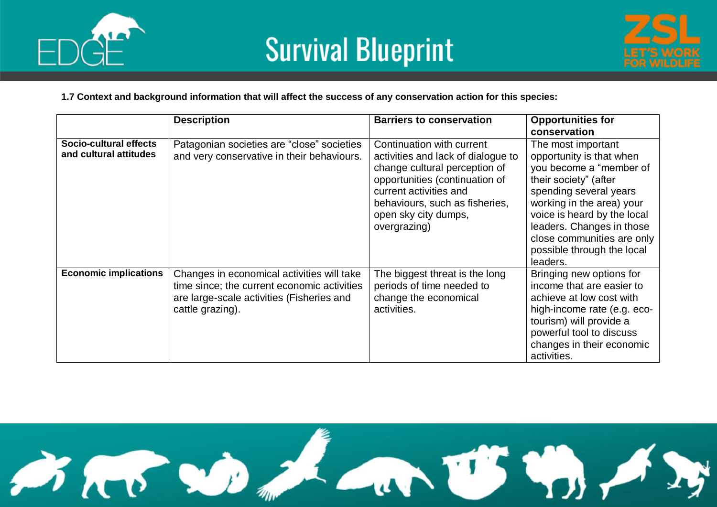



#### **1.7 Context and background information that will affect the success of any conservation action for this species:**

|                                                  | <b>Description</b>                                                                                                                                         | <b>Barriers to conservation</b>                                                                                                                                                                                                        | <b>Opportunities for</b><br>conservation                                                                                                                                                                                                                                                      |
|--------------------------------------------------|------------------------------------------------------------------------------------------------------------------------------------------------------------|----------------------------------------------------------------------------------------------------------------------------------------------------------------------------------------------------------------------------------------|-----------------------------------------------------------------------------------------------------------------------------------------------------------------------------------------------------------------------------------------------------------------------------------------------|
| Socio-cultural effects<br>and cultural attitudes | Patagonian societies are "close" societies<br>and very conservative in their behaviours.                                                                   | Continuation with current<br>activities and lack of dialogue to<br>change cultural perception of<br>opportunities (continuation of<br>current activities and<br>behaviours, such as fisheries,<br>open sky city dumps,<br>overgrazing) | The most important<br>opportunity is that when<br>you become a "member of<br>their society" (after<br>spending several years<br>working in the area) your<br>voice is heard by the local<br>leaders. Changes in those<br>close communities are only<br>possible through the local<br>leaders. |
| <b>Economic implications</b>                     | Changes in economical activities will take<br>time since; the current economic activities<br>are large-scale activities (Fisheries and<br>cattle grazing). | The biggest threat is the long<br>periods of time needed to<br>change the economical<br>activities.                                                                                                                                    | Bringing new options for<br>income that are easier to<br>achieve at low cost with<br>high-income rate (e.g. eco-<br>tourism) will provide a<br>powerful tool to discuss<br>changes in their economic<br>activities.                                                                           |

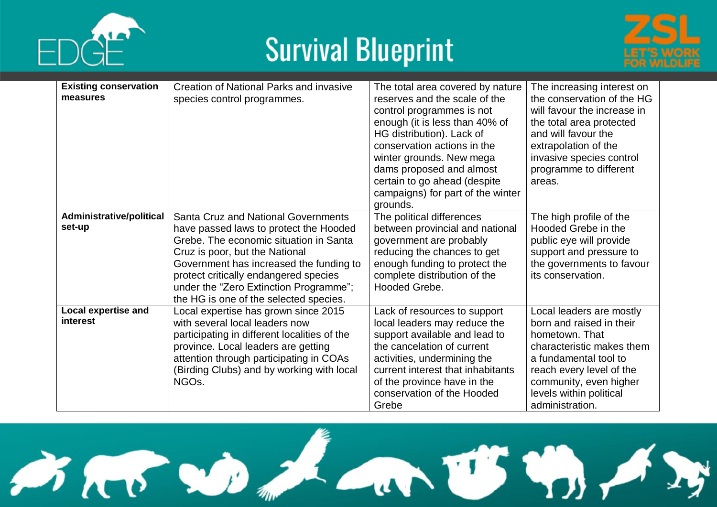





| <b>Existing conservation</b>           | Creation of National Parks and invasive                                                                                                                                                                                                                                                                                                  | The total area covered by nature                                                                                                                                                                                                                                      | The increasing interest on                                                                                                                                                                                                       |
|----------------------------------------|------------------------------------------------------------------------------------------------------------------------------------------------------------------------------------------------------------------------------------------------------------------------------------------------------------------------------------------|-----------------------------------------------------------------------------------------------------------------------------------------------------------------------------------------------------------------------------------------------------------------------|----------------------------------------------------------------------------------------------------------------------------------------------------------------------------------------------------------------------------------|
| measures                               | species control programmes.                                                                                                                                                                                                                                                                                                              | reserves and the scale of the<br>control programmes is not                                                                                                                                                                                                            | the conservation of the HG<br>will favour the increase in                                                                                                                                                                        |
|                                        |                                                                                                                                                                                                                                                                                                                                          | enough (it is less than 40% of<br>HG distribution). Lack of<br>conservation actions in the<br>winter grounds. New mega                                                                                                                                                | the total area protected<br>and will favour the<br>extrapolation of the<br>invasive species control                                                                                                                              |
|                                        |                                                                                                                                                                                                                                                                                                                                          | dams proposed and almost<br>certain to go ahead (despite<br>campaigns) for part of the winter<br>grounds.                                                                                                                                                             | programme to different<br>areas.                                                                                                                                                                                                 |
| Administrative/political<br>set-up     | <b>Santa Cruz and National Governments</b><br>have passed laws to protect the Hooded<br>Grebe. The economic situation in Santa<br>Cruz is poor, but the National<br>Government has increased the funding to<br>protect critically endangered species<br>under the "Zero Extinction Programme";<br>the HG is one of the selected species. | The political differences<br>between provincial and national<br>government are probably<br>reducing the chances to get<br>enough funding to protect the<br>complete distribution of the<br>Hooded Grebe.                                                              | The high profile of the<br>Hooded Grebe in the<br>public eye will provide<br>support and pressure to<br>the governments to favour<br>its conservation.                                                                           |
| <b>Local expertise and</b><br>interest | Local expertise has grown since 2015<br>with several local leaders now<br>participating in different localities of the<br>province. Local leaders are getting<br>attention through participating in COAs<br>(Birding Clubs) and by working with local<br>NGO <sub>s</sub> .                                                              | Lack of resources to support<br>local leaders may reduce the<br>support available and lead to<br>the cancelation of current<br>activities, undermining the<br>current interest that inhabitants<br>of the province have in the<br>conservation of the Hooded<br>Grebe | Local leaders are mostly<br>born and raised in their<br>hometown. That<br>characteristic makes them<br>a fundamental tool to<br>reach every level of the<br>community, even higher<br>levels within political<br>administration. |

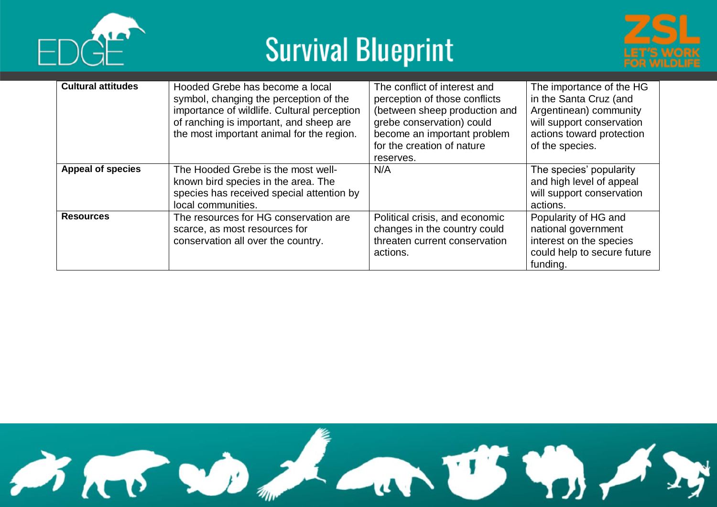





| <b>Cultural attitudes</b> | Hooded Grebe has become a local<br>symbol, changing the perception of the<br>importance of wildlife. Cultural perception<br>of ranching is important, and sheep are<br>the most important animal for the region. | The conflict of interest and<br>perception of those conflicts<br>(between sheep production and<br>grebe conservation) could<br>become an important problem<br>for the creation of nature<br>reserves. | The importance of the HG<br>in the Santa Cruz (and<br>Argentinean) community<br>will support conservation<br>actions toward protection<br>of the species. |
|---------------------------|------------------------------------------------------------------------------------------------------------------------------------------------------------------------------------------------------------------|-------------------------------------------------------------------------------------------------------------------------------------------------------------------------------------------------------|-----------------------------------------------------------------------------------------------------------------------------------------------------------|
| <b>Appeal of species</b>  | The Hooded Grebe is the most well-<br>known bird species in the area. The<br>species has received special attention by<br>local communities.                                                                     | N/A                                                                                                                                                                                                   | The species' popularity<br>and high level of appeal<br>will support conservation<br>actions.                                                              |
| <b>Resources</b>          | The resources for HG conservation are<br>scarce, as most resources for<br>conservation all over the country.                                                                                                     | Political crisis, and economic<br>changes in the country could<br>threaten current conservation<br>actions.                                                                                           | Popularity of HG and<br>national government<br>interest on the species<br>could help to secure future<br>funding.                                         |

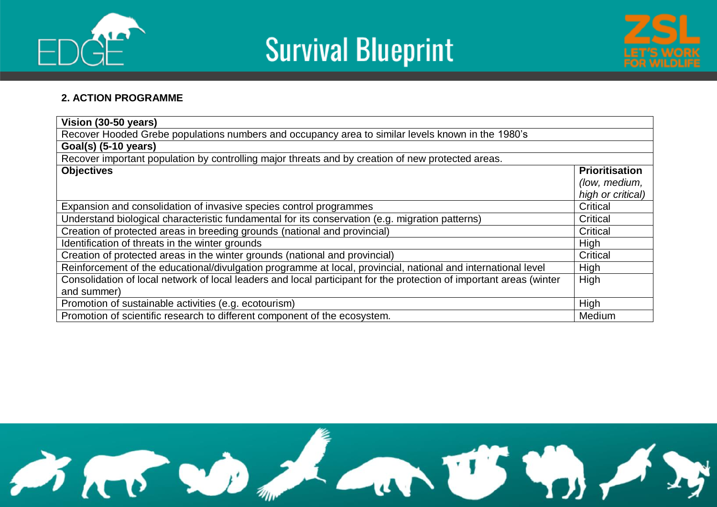





#### **2. ACTION PROGRAMME**

| Vision (30-50 years)                                                                                                |                       |  |  |  |  |  |
|---------------------------------------------------------------------------------------------------------------------|-----------------------|--|--|--|--|--|
| Recover Hooded Grebe populations numbers and occupancy area to similar levels known in the 1980's                   |                       |  |  |  |  |  |
| Goal(s) (5-10 years)                                                                                                |                       |  |  |  |  |  |
| Recover important population by controlling major threats and by creation of new protected areas.                   |                       |  |  |  |  |  |
| <b>Objectives</b>                                                                                                   | <b>Prioritisation</b> |  |  |  |  |  |
|                                                                                                                     | (low, medium,         |  |  |  |  |  |
|                                                                                                                     | high or critical)     |  |  |  |  |  |
| Expansion and consolidation of invasive species control programmes                                                  | Critical              |  |  |  |  |  |
| Understand biological characteristic fundamental for its conservation (e.g. migration patterns)                     | Critical              |  |  |  |  |  |
| Creation of protected areas in breeding grounds (national and provincial)                                           | Critical              |  |  |  |  |  |
| Identification of threats in the winter grounds                                                                     | High                  |  |  |  |  |  |
| Creation of protected areas in the winter grounds (national and provincial)                                         | Critical              |  |  |  |  |  |
| Reinforcement of the educational/divulgation programme at local, provincial, national and international level       | High                  |  |  |  |  |  |
| Consolidation of local network of local leaders and local participant for the protection of important areas (winter | High                  |  |  |  |  |  |
| and summer)                                                                                                         |                       |  |  |  |  |  |
| Promotion of sustainable activities (e.g. ecotourism)                                                               | High                  |  |  |  |  |  |
| Promotion of scientific research to different component of the ecosystem.                                           | Medium                |  |  |  |  |  |

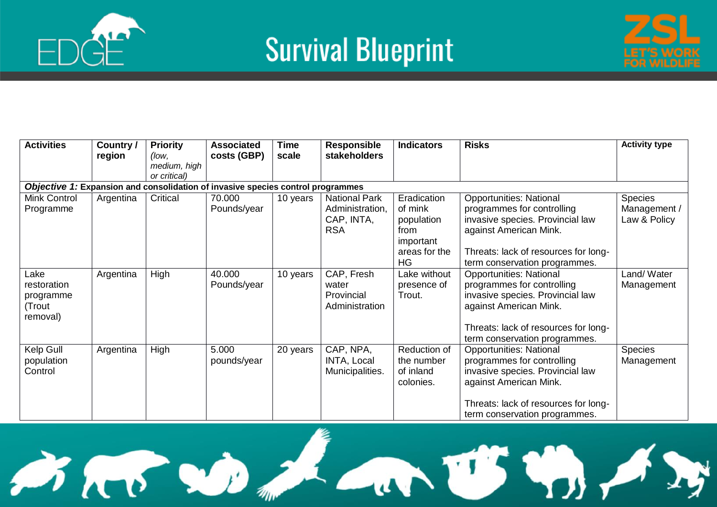



| <b>Activities</b>                                      | Country /<br>region | <b>Priority</b><br>(low.<br>medium, high<br>or critical) | <b>Associated</b><br>costs (GBP)                                                | <b>Time</b><br>scale | <b>Responsible</b><br>stakeholders                                  | <b>Indicators</b>                                                                       | <b>Risks</b>                                                                                                                                                                                        | <b>Activity type</b>                           |
|--------------------------------------------------------|---------------------|----------------------------------------------------------|---------------------------------------------------------------------------------|----------------------|---------------------------------------------------------------------|-----------------------------------------------------------------------------------------|-----------------------------------------------------------------------------------------------------------------------------------------------------------------------------------------------------|------------------------------------------------|
|                                                        |                     |                                                          | Objective 1: Expansion and consolidation of invasive species control programmes |                      |                                                                     |                                                                                         |                                                                                                                                                                                                     |                                                |
| Mink Control<br>Programme                              | Argentina           | Critical                                                 | 70.000<br>Pounds/year                                                           | 10 years             | <b>National Park</b><br>Administration,<br>CAP, INTA,<br><b>RSA</b> | Eradication<br>of mink<br>population<br>from<br>important<br>areas for the<br><b>HG</b> | <b>Opportunities: National</b><br>programmes for controlling<br>invasive species. Provincial law<br>against American Mink.<br>Threats: lack of resources for long-<br>term conservation programmes. | <b>Species</b><br>Management /<br>Law & Policy |
| Lake<br>restoration<br>programme<br>(Trout<br>removal) | Argentina           | High                                                     | 40.000<br>Pounds/year                                                           | 10 years             | CAP, Fresh<br>water<br>Provincial<br>Administration                 | Lake without<br>presence of<br>Trout.                                                   | <b>Opportunities: National</b><br>programmes for controlling<br>invasive species. Provincial law<br>against American Mink.<br>Threats: lack of resources for long-<br>term conservation programmes. | Land/Water<br>Management                       |
| Kelp Gull<br>population<br>Control                     | Argentina           | High                                                     | 5.000<br>pounds/year                                                            | 20 years             | CAP, NPA,<br>INTA, Local<br>Municipalities.                         | Reduction of<br>the number<br>of inland<br>colonies.                                    | <b>Opportunities: National</b><br>programmes for controlling<br>invasive species. Provincial law<br>against American Mink.<br>Threats: lack of resources for long-<br>term conservation programmes. | <b>Species</b><br>Management                   |

SAS DA ANUSY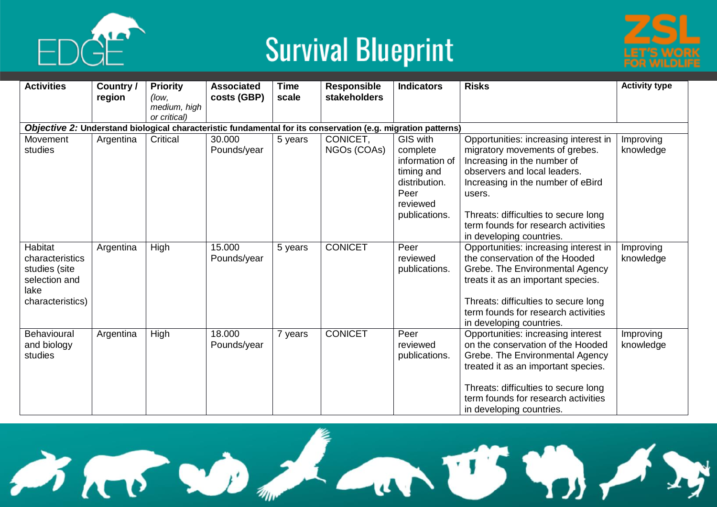





| <b>Activities</b>                                                                        | Country /<br>region | <b>Priority</b><br>(low, | <b>Associated</b><br>costs (GBP) | <b>Time</b><br>scale | <b>Responsible</b><br><b>stakeholders</b>                                                                    | <b>Indicators</b>                                                                                          | <b>Risks</b>                                                                                                                                                                                                                                                                                     | <b>Activity type</b>   |
|------------------------------------------------------------------------------------------|---------------------|--------------------------|----------------------------------|----------------------|--------------------------------------------------------------------------------------------------------------|------------------------------------------------------------------------------------------------------------|--------------------------------------------------------------------------------------------------------------------------------------------------------------------------------------------------------------------------------------------------------------------------------------------------|------------------------|
|                                                                                          |                     | medium, high             |                                  |                      |                                                                                                              |                                                                                                            |                                                                                                                                                                                                                                                                                                  |                        |
|                                                                                          |                     | or critical)             |                                  |                      |                                                                                                              |                                                                                                            |                                                                                                                                                                                                                                                                                                  |                        |
|                                                                                          |                     |                          |                                  |                      | Objective 2: Understand biological characteristic fundamental for its conservation (e.g. migration patterns) |                                                                                                            |                                                                                                                                                                                                                                                                                                  |                        |
| Movement<br>studies                                                                      | Argentina           | Critical                 | 30.000<br>Pounds/year            | 5 years              | CONICET,<br>NGOs (COAs)                                                                                      | GIS with<br>complete<br>information of<br>timing and<br>distribution.<br>Peer<br>reviewed<br>publications. | Opportunities: increasing interest in<br>migratory movements of grebes.<br>Increasing in the number of<br>observers and local leaders.<br>Increasing in the number of eBird<br>users.<br>Threats: difficulties to secure long<br>term founds for research activities<br>in developing countries. | Improving<br>knowledge |
| Habitat<br>characteristics<br>studies (site<br>selection and<br>lake<br>characteristics) | Argentina           | High                     | 15.000<br>Pounds/year            | 5 years              | <b>CONICET</b>                                                                                               | Peer<br>reviewed<br>publications.                                                                          | Opportunities: increasing interest in<br>the conservation of the Hooded<br>Grebe. The Environmental Agency<br>treats it as an important species.<br>Threats: difficulties to secure long<br>term founds for research activities<br>in developing countries.                                      | Improving<br>knowledge |
| Behavioural<br>and biology<br>studies                                                    | Argentina           | High                     | 18.000<br>Pounds/year            | 7 years              | <b>CONICET</b>                                                                                               | Peer<br>reviewed<br>publications.                                                                          | Opportunities: increasing interest<br>on the conservation of the Hooded<br>Grebe. The Environmental Agency<br>treated it as an important species.<br>Threats: difficulties to secure long<br>term founds for research activities<br>in developing countries.                                     | Improving<br>knowledge |

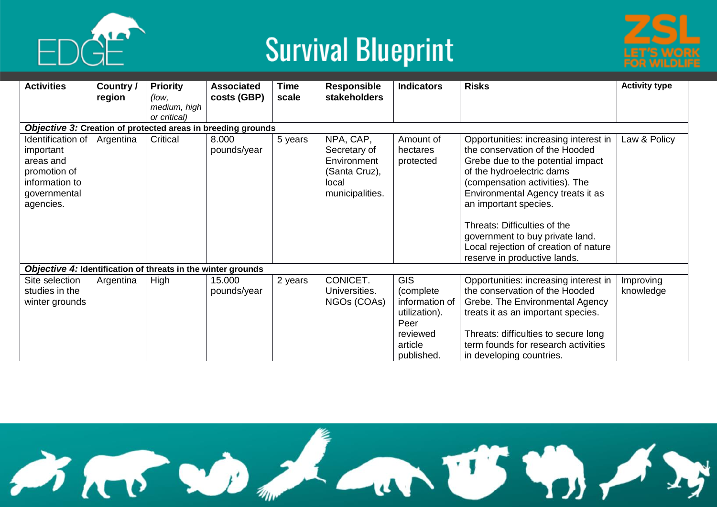



| <b>Activities</b>                                            | Country /<br>region | <b>Priority</b><br>(low, | <b>Associated</b><br>costs (GBP) | Time<br>scale | <b>Responsible</b><br><b>stakeholders</b> | <b>Indicators</b> | <b>Risks</b>                          | <b>Activity type</b> |
|--------------------------------------------------------------|---------------------|--------------------------|----------------------------------|---------------|-------------------------------------------|-------------------|---------------------------------------|----------------------|
|                                                              |                     | medium, high             |                                  |               |                                           |                   |                                       |                      |
|                                                              |                     | or critical)             |                                  |               |                                           |                   |                                       |                      |
| Objective 3: Creation of protected areas in breeding grounds |                     |                          |                                  |               |                                           |                   |                                       |                      |
| Identification of                                            | Argentina           | Critical                 | 8.000                            | 5 years       | NPA, CAP,                                 | Amount of         | Opportunities: increasing interest in | Law & Policy         |
| important                                                    |                     |                          | pounds/year                      |               | Secretary of                              | hectares          | the conservation of the Hooded        |                      |
| areas and                                                    |                     |                          |                                  |               | Environment                               | protected         | Grebe due to the potential impact     |                      |
| promotion of                                                 |                     |                          |                                  |               | (Santa Cruz),                             |                   | of the hydroelectric dams             |                      |
| information to                                               |                     |                          |                                  |               | local                                     |                   | (compensation activities). The        |                      |
| governmental                                                 |                     |                          |                                  |               | municipalities.                           |                   | Environmental Agency treats it as     |                      |
| agencies.                                                    |                     |                          |                                  |               |                                           |                   | an important species.                 |                      |
|                                                              |                     |                          |                                  |               |                                           |                   | Threats: Difficulties of the          |                      |
|                                                              |                     |                          |                                  |               |                                           |                   | government to buy private land.       |                      |
|                                                              |                     |                          |                                  |               |                                           |                   | Local rejection of creation of nature |                      |
|                                                              |                     |                          |                                  |               |                                           |                   | reserve in productive lands.          |                      |
| Objective 4: Identification of threats in the winter grounds |                     |                          |                                  |               |                                           |                   |                                       |                      |
| Site selection                                               | Argentina           | High                     | 15.000                           | 2 years       | CONICET.                                  | <b>GIS</b>        | Opportunities: increasing interest in | Improving            |
| studies in the                                               |                     |                          | pounds/year                      |               | Universities.                             | (complete)        | the conservation of the Hooded        | knowledge            |
| winter grounds                                               |                     |                          |                                  |               | NGOs (COAs)                               | information of    | Grebe. The Environmental Agency       |                      |
|                                                              |                     |                          |                                  |               |                                           | utilization).     | treats it as an important species.    |                      |
|                                                              |                     |                          |                                  |               |                                           | Peer              |                                       |                      |
|                                                              |                     |                          |                                  |               |                                           | reviewed          | Threats: difficulties to secure long  |                      |
|                                                              |                     |                          |                                  |               |                                           | article           | term founds for research activities   |                      |
|                                                              |                     |                          |                                  |               |                                           | published.        | in developing countries.              |                      |

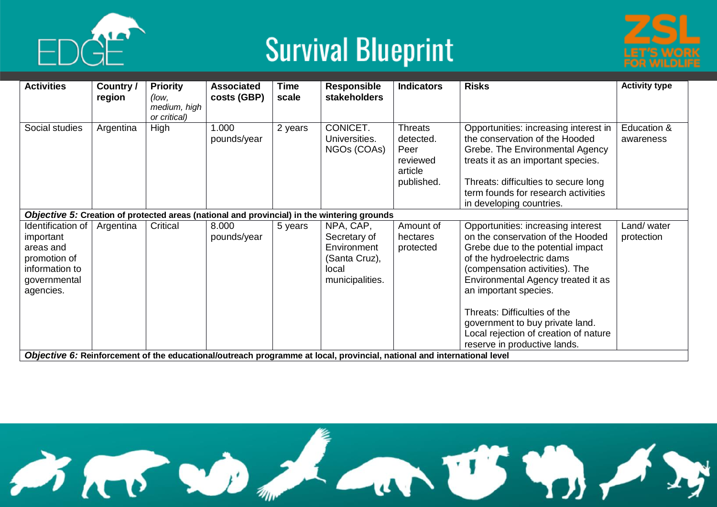





| <b>Activities</b>                                                                                          | Country /<br>region | <b>Priority</b><br>(low,     | <b>Associated</b><br>costs (GBP) | Time<br>scale | <b>Responsible</b><br><b>stakeholders</b>                                                                               | <b>Indicators</b>                                                        | <b>Risks</b>                                                                                                                                                                                                                                                | <b>Activity type</b>     |
|------------------------------------------------------------------------------------------------------------|---------------------|------------------------------|----------------------------------|---------------|-------------------------------------------------------------------------------------------------------------------------|--------------------------------------------------------------------------|-------------------------------------------------------------------------------------------------------------------------------------------------------------------------------------------------------------------------------------------------------------|--------------------------|
|                                                                                                            |                     | medium, high<br>or critical) |                                  |               |                                                                                                                         |                                                                          |                                                                                                                                                                                                                                                             |                          |
| Social studies                                                                                             | Argentina           | High                         | 1.000<br>pounds/year             | 2 years       | CONICET.<br>Universities.<br>NGOs (COAs)                                                                                | <b>Threats</b><br>detected.<br>Peer<br>reviewed<br>article<br>published. | Opportunities: increasing interest in<br>the conservation of the Hooded<br>Grebe. The Environmental Agency<br>treats it as an important species.<br>Threats: difficulties to secure long<br>term founds for research activities<br>in developing countries. | Education &<br>awareness |
|                                                                                                            |                     |                              |                                  |               | Objective 5: Creation of protected areas (national and provincial) in the wintering grounds                             |                                                                          |                                                                                                                                                                                                                                                             |                          |
| Identification of<br>important<br>areas and<br>promotion of<br>information to<br>governmental<br>agencies. | Argentina           | Critical                     | 8.000<br>pounds/year             | 5 years       | NPA, CAP,<br>Secretary of<br>Environment<br>(Santa Cruz),<br>local<br>municipalities.                                   | Amount of<br>hectares<br>protected                                       | Opportunities: increasing interest<br>on the conservation of the Hooded<br>Grebe due to the potential impact<br>of the hydroelectric dams<br>(compensation activities). The<br>Environmental Agency treated it as<br>an important species.                  | Land/water<br>protection |
|                                                                                                            |                     |                              |                                  |               | Objective 6: Reinforcement of the educational/outreach programme at local, provincial, national and international level |                                                                          | Threats: Difficulties of the<br>government to buy private land.<br>Local rejection of creation of nature<br>reserve in productive lands.                                                                                                                    |                          |

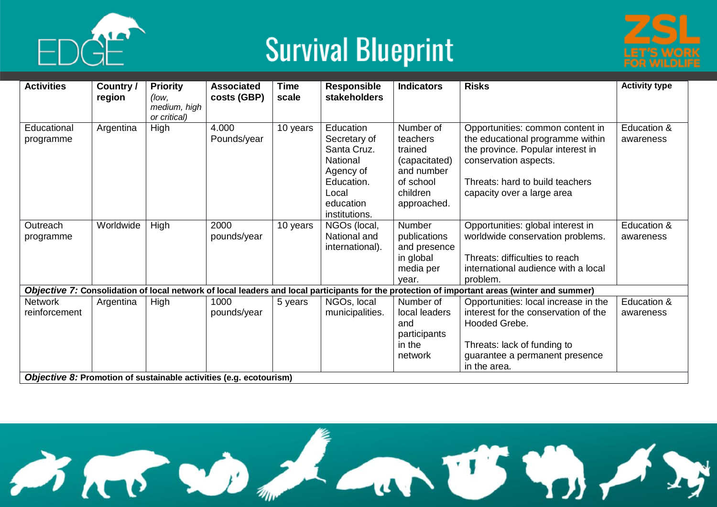





| <b>Activities</b>               | Country / | <b>Priority</b>                       | <b>Associated</b>    | <b>Time</b> | <b>Responsible</b>                                                                                                     | <b>Indicators</b>                                                                                       | <b>Risks</b>                                                                                                                                                                                        | <b>Activity type</b>     |
|---------------------------------|-----------|---------------------------------------|----------------------|-------------|------------------------------------------------------------------------------------------------------------------------|---------------------------------------------------------------------------------------------------------|-----------------------------------------------------------------------------------------------------------------------------------------------------------------------------------------------------|--------------------------|
|                                 | region    | (low,<br>medium, high<br>or critical) | costs (GBP)          | scale       | stakeholders                                                                                                           |                                                                                                         |                                                                                                                                                                                                     |                          |
| Educational<br>programme        | Argentina | High                                  | 4.000<br>Pounds/year | 10 years    | Education<br>Secretary of<br>Santa Cruz.<br>National<br>Agency of<br>Education.<br>Local<br>education<br>institutions. | Number of<br>teachers<br>trained<br>(capacitated)<br>and number<br>of school<br>children<br>approached. | Opportunities: common content in<br>the educational programme within<br>the province. Popular interest in<br>conservation aspects.<br>Threats: hard to build teachers<br>capacity over a large area | Education &<br>awareness |
| Outreach<br>programme           | Worldwide | High                                  | 2000<br>pounds/year  | 10 years    | NGOs (local,<br>National and<br>international).                                                                        | Number<br>publications<br>and presence<br>in global<br>media per<br>vear.                               | Opportunities: global interest in<br>worldwide conservation problems.<br>Threats: difficulties to reach<br>international audience with a local<br>problem.                                          | Education &<br>awareness |
|                                 |           |                                       |                      |             |                                                                                                                        |                                                                                                         | Objective 7: Consolidation of local network of local leaders and local participants for the protection of important areas (winter and summer)                                                       |                          |
| <b>Network</b><br>reinforcement | Argentina | High                                  | 1000<br>pounds/year  | 5 years     | NGOs, local<br>municipalities.                                                                                         | Number of<br>local leaders<br>and<br>participants<br>in the<br>network                                  | Opportunities: local increase in the<br>interest for the conservation of the<br>Hooded Grebe.<br>Threats: lack of funding to<br>guarantee a permanent presence<br>in the area.                      | Education &<br>awareness |

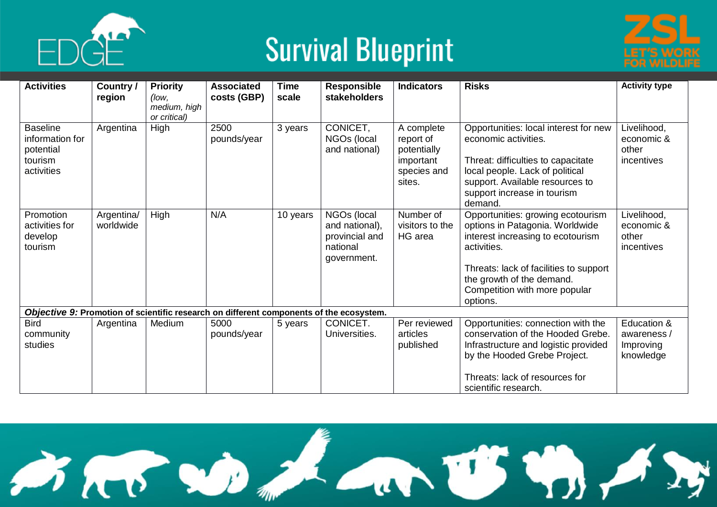





| <b>Activities</b>                                                        | Country /<br>region     | <b>Priority</b><br>(low,<br>medium, high<br>or critical) | <b>Associated</b><br>costs (GBP) | <b>Time</b><br>scale | <b>Responsible</b><br>stakeholders                                                      | <b>Indicators</b>                                                            | <b>Risks</b>                                                                                                                                                                                                                                 | <b>Activity type</b>                                 |
|--------------------------------------------------------------------------|-------------------------|----------------------------------------------------------|----------------------------------|----------------------|-----------------------------------------------------------------------------------------|------------------------------------------------------------------------------|----------------------------------------------------------------------------------------------------------------------------------------------------------------------------------------------------------------------------------------------|------------------------------------------------------|
| <b>Baseline</b><br>information for<br>potential<br>tourism<br>activities | Argentina               | High                                                     | 2500<br>pounds/year              | 3 years              | CONICET,<br>NGOs (local<br>and national)                                                | A complete<br>report of<br>potentially<br>important<br>species and<br>sites. | Opportunities: local interest for new<br>economic activities.<br>Threat: difficulties to capacitate<br>local people. Lack of political<br>support. Available resources to<br>support increase in tourism<br>demand.                          | Livelihood,<br>economic &<br>other<br>incentives     |
| Promotion<br>activities for<br>develop<br>tourism                        | Argentina/<br>worldwide | High                                                     | N/A                              | 10 years             | NGOs (local<br>and national),<br>provincial and<br>national<br>government.              | Number of<br>visitors to the<br>HG area                                      | Opportunities: growing ecotourism<br>options in Patagonia. Worldwide<br>interest increasing to ecotourism<br>activities.<br>Threats: lack of facilities to support<br>the growth of the demand.<br>Competition with more popular<br>options. | Livelihood,<br>economic &<br>other<br>incentives     |
|                                                                          |                         |                                                          |                                  |                      | Objective 9: Promotion of scientific research on different components of the ecosystem. |                                                                              |                                                                                                                                                                                                                                              |                                                      |
| <b>Bird</b><br>community<br>studies                                      | Argentina               | Medium                                                   | 5000<br>pounds/year              | 5 years              | CONICET.<br>Universities.                                                               | Per reviewed<br>articles<br>published                                        | Opportunities: connection with the<br>conservation of the Hooded Grebe.<br>Infrastructure and logistic provided<br>by the Hooded Grebe Project.<br>Threats: lack of resources for<br>scientific research.                                    | Education &<br>awareness /<br>Improving<br>knowledge |

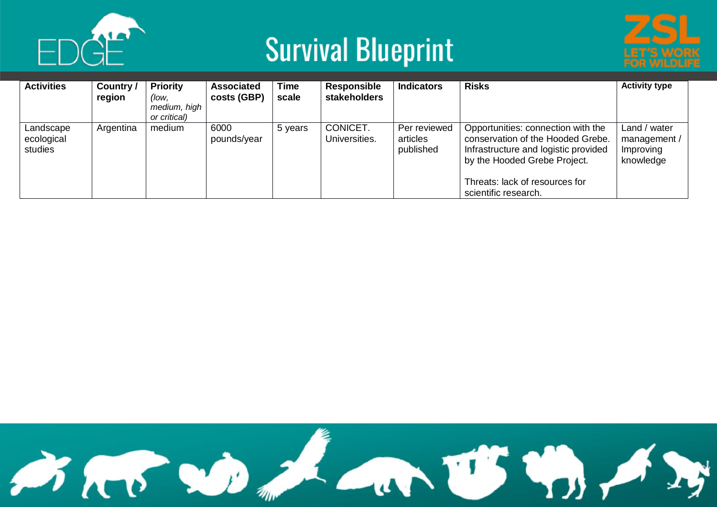





| <b>Activities</b>                  | Country /<br>region | <b>Priority</b><br>(low,<br>medium, high<br>or critical) | <b>Associated</b><br>costs (GBP) | <b>Time</b><br>scale | <b>Responsible</b><br><b>stakeholders</b> | <b>Indicators</b>                     | <b>Risks</b>                                                                                                                                                                                              | <b>Activity type</b>                                   |
|------------------------------------|---------------------|----------------------------------------------------------|----------------------------------|----------------------|-------------------------------------------|---------------------------------------|-----------------------------------------------------------------------------------------------------------------------------------------------------------------------------------------------------------|--------------------------------------------------------|
| Landscape<br>ecological<br>studies | Argentina           | medium                                                   | 6000<br>pounds/year              | 5 years              | CONICET.<br>Universities.                 | Per reviewed<br>articles<br>published | Opportunities: connection with the<br>conservation of the Hooded Grebe.<br>Infrastructure and logistic provided<br>by the Hooded Grebe Project.<br>Threats: lack of resources for<br>scientific research. | Land / water<br>management /<br>Improving<br>knowledge |